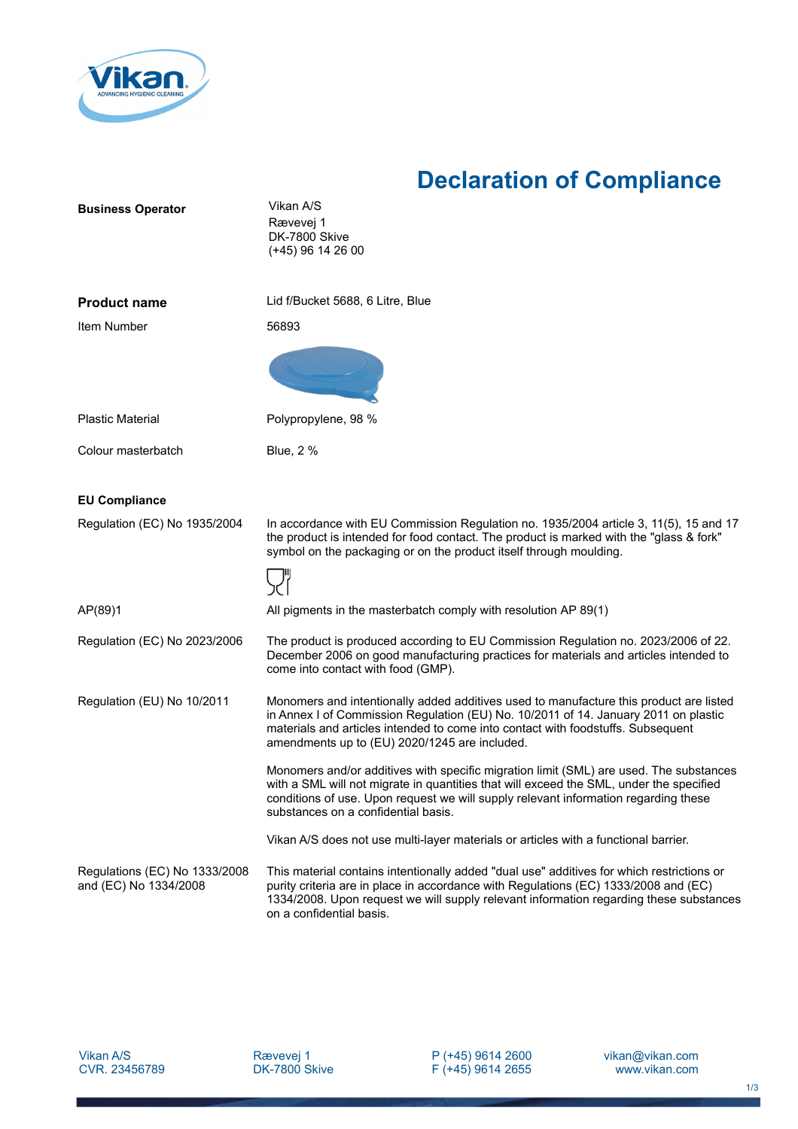

## **Declaration of Compliance**

| <b>Business Operator</b>                               | Vikan A/S<br>Rævevej 1<br>DK-7800 Skive<br>$(+45)$ 96 14 26 00                                                                                                                                                                                                                                                     |
|--------------------------------------------------------|--------------------------------------------------------------------------------------------------------------------------------------------------------------------------------------------------------------------------------------------------------------------------------------------------------------------|
| <b>Product name</b>                                    | Lid f/Bucket 5688, 6 Litre, Blue                                                                                                                                                                                                                                                                                   |
| Item Number                                            | 56893                                                                                                                                                                                                                                                                                                              |
|                                                        |                                                                                                                                                                                                                                                                                                                    |
| <b>Plastic Material</b>                                | Polypropylene, 98 %                                                                                                                                                                                                                                                                                                |
| Colour masterbatch                                     | Blue, 2 %                                                                                                                                                                                                                                                                                                          |
|                                                        |                                                                                                                                                                                                                                                                                                                    |
| <b>EU Compliance</b>                                   |                                                                                                                                                                                                                                                                                                                    |
| Regulation (EC) No 1935/2004                           | In accordance with EU Commission Regulation no. 1935/2004 article 3, 11(5), 15 and 17<br>the product is intended for food contact. The product is marked with the "glass & fork"<br>symbol on the packaging or on the product itself through moulding.                                                             |
|                                                        |                                                                                                                                                                                                                                                                                                                    |
| AP(89)1                                                | All pigments in the masterbatch comply with resolution AP 89(1)                                                                                                                                                                                                                                                    |
| Regulation (EC) No 2023/2006                           | The product is produced according to EU Commission Regulation no. 2023/2006 of 22.<br>December 2006 on good manufacturing practices for materials and articles intended to<br>come into contact with food (GMP).                                                                                                   |
| Regulation (EU) No 10/2011                             | Monomers and intentionally added additives used to manufacture this product are listed<br>in Annex I of Commission Regulation (EU) No. 10/2011 of 14. January 2011 on plastic<br>materials and articles intended to come into contact with foodstuffs. Subsequent<br>amendments up to (EU) 2020/1245 are included. |
|                                                        | Monomers and/or additives with specific migration limit (SML) are used. The substances<br>with a SML will not migrate in quantities that will exceed the SML, under the specified<br>conditions of use. Upon request we will supply relevant information regarding these<br>substances on a confidential basis.    |
|                                                        | Vikan A/S does not use multi-layer materials or articles with a functional barrier.                                                                                                                                                                                                                                |
| Regulations (EC) No 1333/2008<br>and (EC) No 1334/2008 | This material contains intentionally added "dual use" additives for which restrictions or<br>purity criteria are in place in accordance with Regulations (EC) 1333/2008 and (EC)<br>1334/2008. Upon request we will supply relevant information regarding these substances<br>on a confidential basis.             |

Vikan A/S CVR. 23456789 P (+45) 9614 2600 F (+45) 9614 2655 vikan@vikan.com www.vikan.com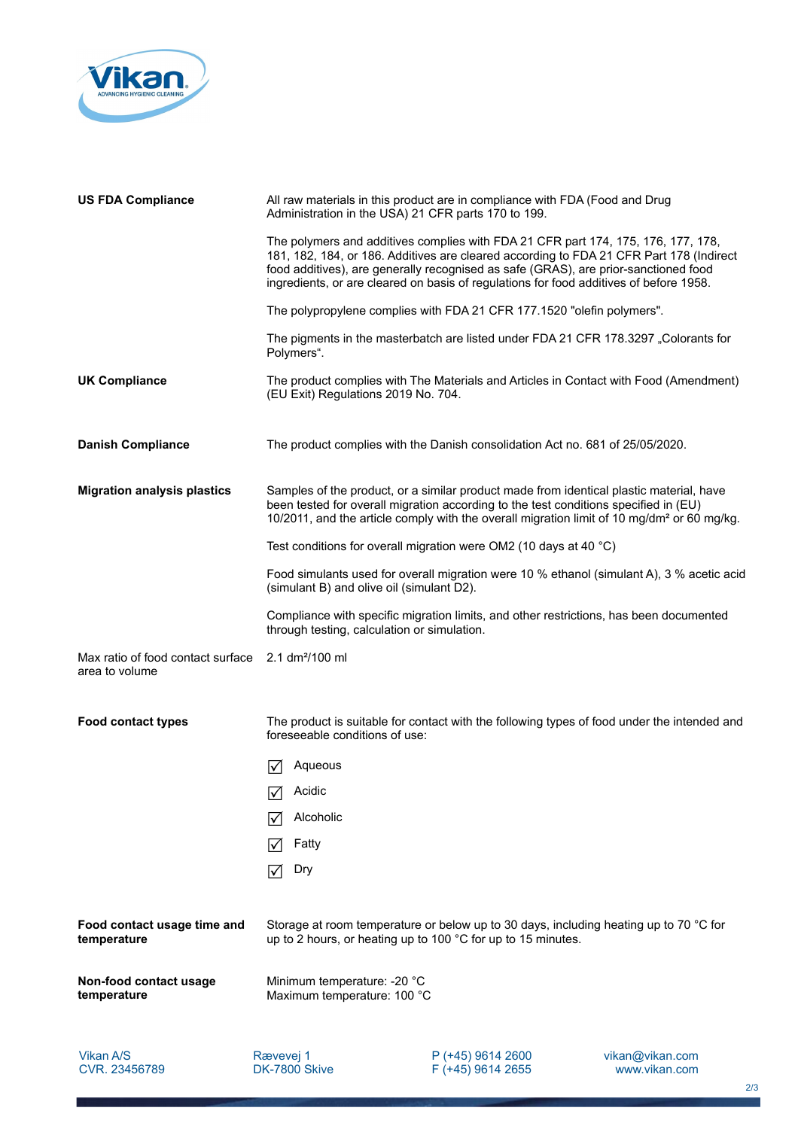

| <b>US FDA Compliance</b>                            | All raw materials in this product are in compliance with FDA (Food and Drug<br>Administration in the USA) 21 CFR parts 170 to 199.                                                                                                                                                                                                                            |
|-----------------------------------------------------|---------------------------------------------------------------------------------------------------------------------------------------------------------------------------------------------------------------------------------------------------------------------------------------------------------------------------------------------------------------|
|                                                     | The polymers and additives complies with FDA 21 CFR part 174, 175, 176, 177, 178,<br>181, 182, 184, or 186. Additives are cleared according to FDA 21 CFR Part 178 (Indirect<br>food additives), are generally recognised as safe (GRAS), are prior-sanctioned food<br>ingredients, or are cleared on basis of regulations for food additives of before 1958. |
|                                                     | The polypropylene complies with FDA 21 CFR 177.1520 "olefin polymers".                                                                                                                                                                                                                                                                                        |
|                                                     | The pigments in the masterbatch are listed under FDA 21 CFR 178.3297 "Colorants for<br>Polymers".                                                                                                                                                                                                                                                             |
| <b>UK Compliance</b>                                | The product complies with The Materials and Articles in Contact with Food (Amendment)<br>(EU Exit) Regulations 2019 No. 704.                                                                                                                                                                                                                                  |
| <b>Danish Compliance</b>                            | The product complies with the Danish consolidation Act no. 681 of 25/05/2020.                                                                                                                                                                                                                                                                                 |
| <b>Migration analysis plastics</b>                  | Samples of the product, or a similar product made from identical plastic material, have<br>been tested for overall migration according to the test conditions specified in (EU)<br>10/2011, and the article comply with the overall migration limit of 10 mg/dm <sup>2</sup> or 60 mg/kg.                                                                     |
|                                                     | Test conditions for overall migration were OM2 (10 days at 40 °C)                                                                                                                                                                                                                                                                                             |
|                                                     | Food simulants used for overall migration were 10 % ethanol (simulant A), 3 % acetic acid<br>(simulant B) and olive oil (simulant D2).                                                                                                                                                                                                                        |
|                                                     | Compliance with specific migration limits, and other restrictions, has been documented<br>through testing, calculation or simulation.                                                                                                                                                                                                                         |
| Max ratio of food contact surface<br>area to volume | 2.1 dm <sup>2</sup> /100 ml                                                                                                                                                                                                                                                                                                                                   |
| <b>Food contact types</b>                           | The product is suitable for contact with the following types of food under the intended and<br>foreseeable conditions of use:                                                                                                                                                                                                                                 |
|                                                     | Aqueous                                                                                                                                                                                                                                                                                                                                                       |
|                                                     | $\sqrt{ }$ Acidic<br>⊻                                                                                                                                                                                                                                                                                                                                        |
|                                                     | Alcoholic                                                                                                                                                                                                                                                                                                                                                     |
|                                                     | Fatty<br>١V                                                                                                                                                                                                                                                                                                                                                   |
|                                                     | Dry<br>I√                                                                                                                                                                                                                                                                                                                                                     |
| Food contact usage time and<br>temperature          | Storage at room temperature or below up to 30 days, including heating up to 70 °C for<br>up to 2 hours, or heating up to 100 °C for up to 15 minutes.                                                                                                                                                                                                         |
| Non-food contact usage<br>temperature               | Minimum temperature: -20 °C<br>Maximum temperature: 100 °C                                                                                                                                                                                                                                                                                                    |
|                                                     |                                                                                                                                                                                                                                                                                                                                                               |

Vikan A/S CVR. 23456789

Rævevej 1 DK-7800 Skive P (+45) 9614 2600 F (+45) 9614 2655 vikan@vikan.com www.vikan.com